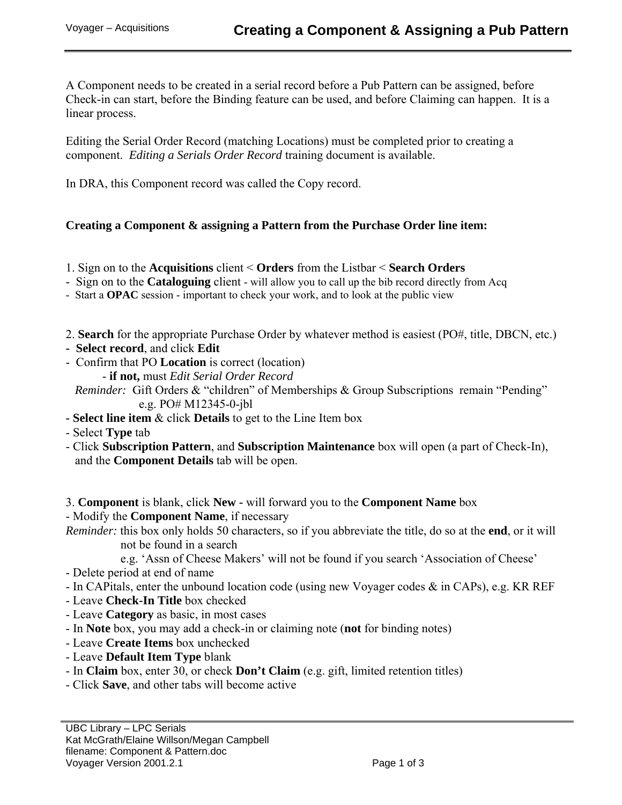A Component needs to be created in a serial record before a Pub Pattern can be assigned, before Check-in can start, before the Binding feature can be used, and before Claiming can happen. It is a linear process.

Editing the Serial Order Record (matching Locations) must be completed prior to creating a component. *Editing a Serials Order Record* training document is available.

In DRA, this Component record was called the Copy record.

## **Creating a Component & assigning a Pattern from the Purchase Order line item:**

- 1. Sign on to the **Acquisitions** client < **Orders** from the Listbar < **Search Orders**
- Sign on to the **Cataloguing** client will allow you to call up the bib record directly from Acq
- Start a **OPAC** session important to check your work, and to look at the public view
- 2. **Search** for the appropriate Purchase Order by whatever method is easiest (PO#, title, DBCN, etc.)
- **Select record**, and click **Edit**
- Confirm that PO **Location** is correct (location)
	- **if not,** must *Edit Serial Order Record*

*Reminder:* Gift Orders & "children" of Memberships & Group Subscriptions remain "Pending" e.g. PO# M12345-0-jbl

- **Select line item** & click **Details** to get to the Line Item box
- Select **Type** tab
- Click **Subscription Pattern**, and **Subscription Maintenance** box will open (a part of Check-In), and the **Component Details** tab will be open.

3. **Component** is blank, click **New -** will forward you to the **Component Name** box

- Modify the **Component Name**, if necessary

*Reminder:* this box only holds 50 characters, so if you abbreviate the title, do so at the **end**, or it will not be found in a search

- e.g. 'Assn of Cheese Makers' will not be found if you search 'Association of Cheese'
- Delete period at end of name
- In CAPitals, enter the unbound location code (using new Voyager codes & in CAPs), e.g. KR REF
- Leave **Check-In Title** box checked
- Leave **Category** as basic, in most cases
- In **Note** box, you may add a check-in or claiming note (**not** for binding notes)
- Leave **Create Items** box unchecked
- Leave **Default Item Type** blank
- In **Claim** box, enter 30, or check **Don't Claim** (e.g. gift, limited retention titles)
- Click **Save**, and other tabs will become active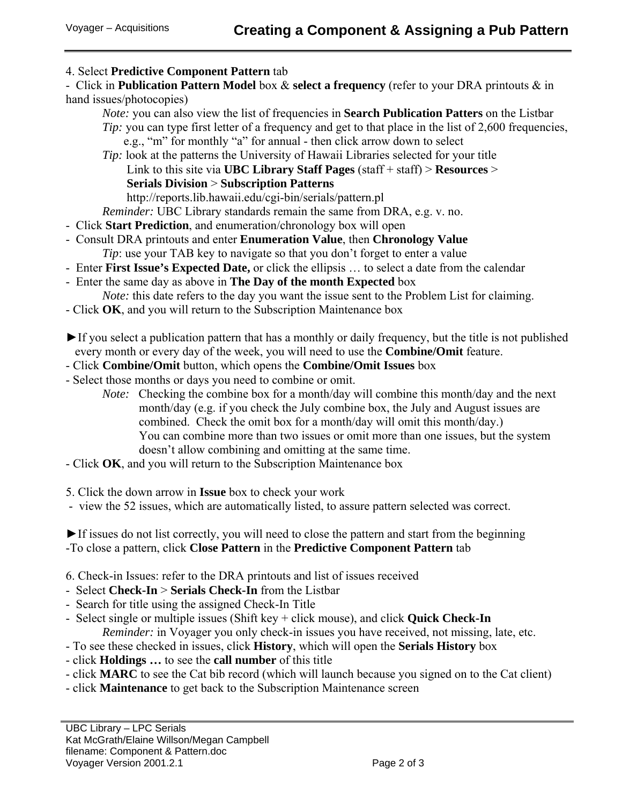## 4. Select **Predictive Component Pattern** tab

- Click in **Publication Pattern Model** box & **select a frequency** (refer to your DRA printouts & in hand issues/photocopies)

*Note:* you can also view the list of frequencies in **Search Publication Patters** on the Listbar *Tip*: you can type first letter of a frequency and get to that place in the list of 2,600 frequencies, e.g., "m" for monthly "a" for annual - then click arrow down to select

*Tip:* look at the patterns the University of Hawaii Libraries selected for your title Link to this site via **UBC Library Staff Pages** (staff + staff) > **Resources** > **Serials Division** > **Subscription Patterns** http://reports.lib.hawaii.edu/cgi-bin/serials/pattern.pl

*Reminder:* UBC Library standards remain the same from DRA, e.g. v. no.

- Click **Start Prediction**, and enumeration/chronology box will open
- Consult DRA printouts and enter **Enumeration Value**, then **Chronology Value** *Tip*: use your TAB key to navigate so that you don't forget to enter a value
- Enter **First Issue's Expected Date,** or click the ellipsis … to select a date from the calendar
- Enter the same day as above in **The Day of the month Expected** box *Note:* this date refers to the day you want the issue sent to the Problem List for claiming.
- Click **OK**, and you will return to the Subscription Maintenance box
- ►If you select a publication pattern that has a monthly or daily frequency, but the title is not published every month or every day of the week, you will need to use the **Combine/Omit** feature.
- Click **Combine/Omit** button, which opens the **Combine/Omit Issues** box
- Select those months or days you need to combine or omit.
	- *Note:* Checking the combine box for a month/day will combine this month/day and the next month/day (e.g. if you check the July combine box, the July and August issues are combined. Check the omit box for a month/day will omit this month/day.) You can combine more than two issues or omit more than one issues, but the system doesn't allow combining and omitting at the same time.
- Click **OK**, and you will return to the Subscription Maintenance box

5. Click the down arrow in **Issue** box to check your work

- view the 52 issues, which are automatically listed, to assure pattern selected was correct.

►If issues do not list correctly, you will need to close the pattern and start from the beginning -To close a pattern, click **Close Pattern** in the **Predictive Component Pattern** tab

- 6. Check-in Issues: refer to the DRA printouts and list of issues received
- Select **Check-In** > **Serials Check-In** from the Listbar
- Search for title using the assigned Check-In Title
- Select single or multiple issues (Shift key + click mouse), and click **Quick Check-In**  *Reminder:* in Voyager you only check-in issues you have received, not missing, late, etc.
- To see these checked in issues, click **History**, which will open the **Serials History** box
- click **Holdings …** to see the **call number** of this title
- click **MARC** to see the Cat bib record (which will launch because you signed on to the Cat client)
- click **Maintenance** to get back to the Subscription Maintenance screen